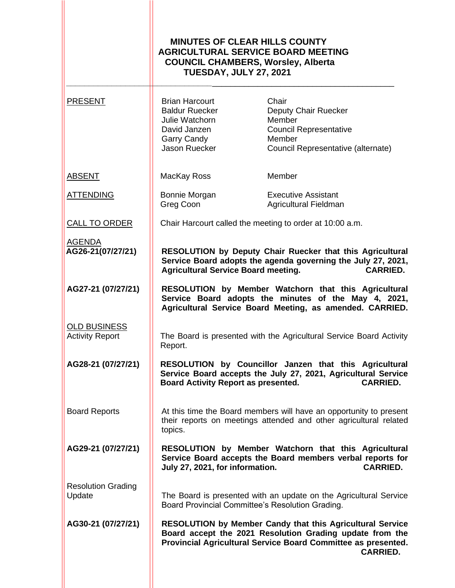|                                               | <b>MINUTES OF CLEAR HILLS COUNTY</b><br><b>AGRICULTURAL SERVICE BOARD MEETING</b><br><b>COUNCIL CHAMBERS, Worsley, Alberta</b><br><b>TUESDAY, JULY 27, 2021</b> |                                                                                                                                                                                                                  |
|-----------------------------------------------|-----------------------------------------------------------------------------------------------------------------------------------------------------------------|------------------------------------------------------------------------------------------------------------------------------------------------------------------------------------------------------------------|
| <b>PRESENT</b>                                | <b>Brian Harcourt</b><br><b>Baldur Ruecker</b><br>Julie Watchorn<br>David Janzen<br><b>Garry Candy</b><br>Jason Ruecker                                         | Chair<br>Deputy Chair Ruecker<br>Member<br><b>Council Representative</b><br>Member<br>Council Representative (alternate)                                                                                         |
| <b>ABSENT</b>                                 | MacKay Ross                                                                                                                                                     | Member                                                                                                                                                                                                           |
| <b>ATTENDING</b>                              | Bonnie Morgan<br>Greg Coon                                                                                                                                      | <b>Executive Assistant</b><br>Agricultural Fieldman                                                                                                                                                              |
| <b>CALL TO ORDER</b>                          | Chair Harcourt called the meeting to order at 10:00 a.m.                                                                                                        |                                                                                                                                                                                                                  |
| <b>AGENDA</b><br>AG26-21(07/27/21)            | <b>Agricultural Service Board meeting.</b>                                                                                                                      | RESOLUTION by Deputy Chair Ruecker that this Agricultural<br>Service Board adopts the agenda governing the July 27, 2021,<br><b>CARRIED.</b>                                                                     |
| AG27-21 (07/27/21)                            |                                                                                                                                                                 | RESOLUTION by Member Watchorn that this Agricultural<br>Service Board adopts the minutes of the May 4, 2021,<br>Agricultural Service Board Meeting, as amended. CARRIED.                                         |
| <b>OLD BUSINESS</b><br><b>Activity Report</b> | Report.                                                                                                                                                         | The Board is presented with the Agricultural Service Board Activity                                                                                                                                              |
| AG28-21 (07/27/21)                            | Board Activity Report as presented.                                                                                                                             | RESOLUTION by Councillor Janzen that this Agricultural<br>Service Board accepts the July 27, 2021, Agricultural Service<br><b>CARRIED.</b>                                                                       |
| <b>Board Reports</b>                          | topics.                                                                                                                                                         | At this time the Board members will have an opportunity to present<br>their reports on meetings attended and other agricultural related                                                                          |
| AG29-21 (07/27/21)                            | July 27, 2021, for information.                                                                                                                                 | RESOLUTION by Member Watchorn that this Agricultural<br>Service Board accepts the Board members verbal reports for<br><b>CARRIED.</b>                                                                            |
| <b>Resolution Grading</b><br>Update           |                                                                                                                                                                 | The Board is presented with an update on the Agricultural Service<br>Board Provincial Committee's Resolution Grading.                                                                                            |
| AG30-21 (07/27/21)                            |                                                                                                                                                                 | <b>RESOLUTION by Member Candy that this Agricultural Service</b><br>Board accept the 2021 Resolution Grading update from the<br>Provincial Agricultural Service Board Committee as presented.<br><b>CARRIED.</b> |
|                                               |                                                                                                                                                                 |                                                                                                                                                                                                                  |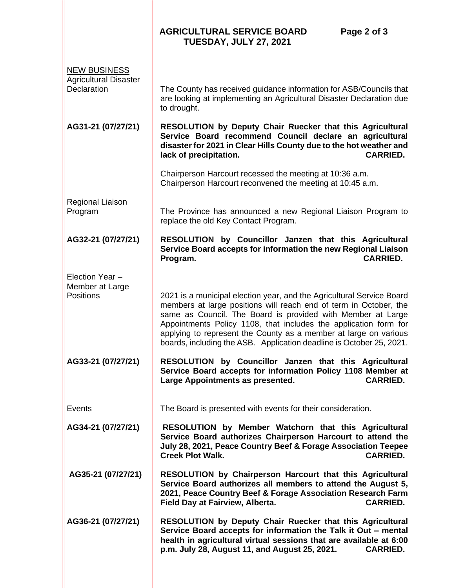|                                                                    | <b>AGRICULTURAL SERVICE BOARD</b><br>Page 2 of 3<br><b>TUESDAY, JULY 27, 2021</b>                                                                                                                                                                                                                                                                                                                                         |
|--------------------------------------------------------------------|---------------------------------------------------------------------------------------------------------------------------------------------------------------------------------------------------------------------------------------------------------------------------------------------------------------------------------------------------------------------------------------------------------------------------|
| <b>NEW BUSINESS</b><br><b>Agricultural Disaster</b><br>Declaration | The County has received guidance information for ASB/Councils that<br>are looking at implementing an Agricultural Disaster Declaration due                                                                                                                                                                                                                                                                                |
| AG31-21 (07/27/21)                                                 | to drought.<br>RESOLUTION by Deputy Chair Ruecker that this Agricultural<br>Service Board recommend Council declare an agricultural<br>disaster for 2021 in Clear Hills County due to the hot weather and<br>lack of precipitation.<br><b>CARRIED.</b>                                                                                                                                                                    |
|                                                                    | Chairperson Harcourt recessed the meeting at 10:36 a.m.<br>Chairperson Harcourt reconvened the meeting at 10:45 a.m.                                                                                                                                                                                                                                                                                                      |
| Regional Liaison<br>Program                                        | The Province has announced a new Regional Liaison Program to<br>replace the old Key Contact Program.                                                                                                                                                                                                                                                                                                                      |
| AG32-21 (07/27/21)                                                 | RESOLUTION by Councillor Janzen that this Agricultural<br>Service Board accepts for information the new Regional Liaison<br><b>CARRIED.</b><br>Program.                                                                                                                                                                                                                                                                   |
| Election Year -<br>Member at Large<br><b>Positions</b>             | 2021 is a municipal election year, and the Agricultural Service Board<br>members at large positions will reach end of term in October, the<br>same as Council. The Board is provided with Member at Large<br>Appointments Policy 1108, that includes the application form for<br>applying to represent the County as a member at large on various<br>boards, including the ASB. Application deadline is October 25, 2021. |
| AG33-21 (07/27/21)                                                 | RESOLUTION by Councillor Janzen that this Agricultural<br>Service Board accepts for information Policy 1108 Member at<br>Large Appointments as presented.<br><b>CARRIED.</b>                                                                                                                                                                                                                                              |
| Events                                                             | The Board is presented with events for their consideration.                                                                                                                                                                                                                                                                                                                                                               |
| AG34-21 (07/27/21)                                                 | RESOLUTION by Member Watchorn that this Agricultural<br>Service Board authorizes Chairperson Harcourt to attend the<br>July 28, 2021, Peace Country Beef & Forage Association Teepee<br><b>CARRIED.</b><br><b>Creek Plot Walk.</b>                                                                                                                                                                                        |
| AG35-21 (07/27/21)                                                 | RESOLUTION by Chairperson Harcourt that this Agricultural<br>Service Board authorizes all members to attend the August 5,<br>2021, Peace Country Beef & Forage Association Research Farm<br><b>CARRIED.</b><br>Field Day at Fairview, Alberta.                                                                                                                                                                            |
| AG36-21 (07/27/21)                                                 | RESOLUTION by Deputy Chair Ruecker that this Agricultural<br>Service Board accepts for information the Talk it Out - mental<br>health in agricultural virtual sessions that are available at 6:00<br>p.m. July 28, August 11, and August 25, 2021.<br><b>CARRIED.</b>                                                                                                                                                     |
|                                                                    |                                                                                                                                                                                                                                                                                                                                                                                                                           |